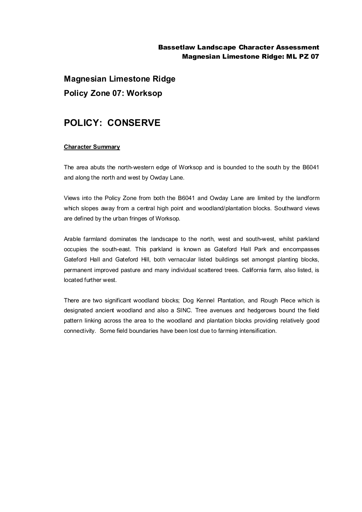## Bassetlaw Landscape Character Assessment Magnesian Limestone Ridge: ML PZ 07

**Magnesian Limestone Ridge Policy Zone 07: Worksop**

## **POLICY: CONSERVE**

## **Character Summary**

The area abuts the north-western edge of Worksop and is bounded to the south by the B6041 and along the north and west by Owday Lane.

Views into the Policy Zone from both the B6041 and Owday Lane are limited by the landform which slopes away from a central high point and woodland/plantation blocks. Southward views are defined by the urban fringes of Worksop.

Arable farmland dominates the landscape to the north, west and south-west, whilst parkland occupies the south-east. This parkland is known as Gateford Hall Park and encompasses Gateford Hall and Gateford Hill, both vernacular listed buildings set amongst planting blocks, permanent improved pasture and many individual scattered trees. California farm, also listed, is located further west.

There are two significant woodland blocks; Dog Kennel Plantation, and Rough Piece which is designated ancient woodland and also a SINC. Tree avenues and hedgerows bound the field pattern linking across the area to the woodland and plantation blocks providing relatively good connectivity. Some field boundaries have been lost due to farming intensification.